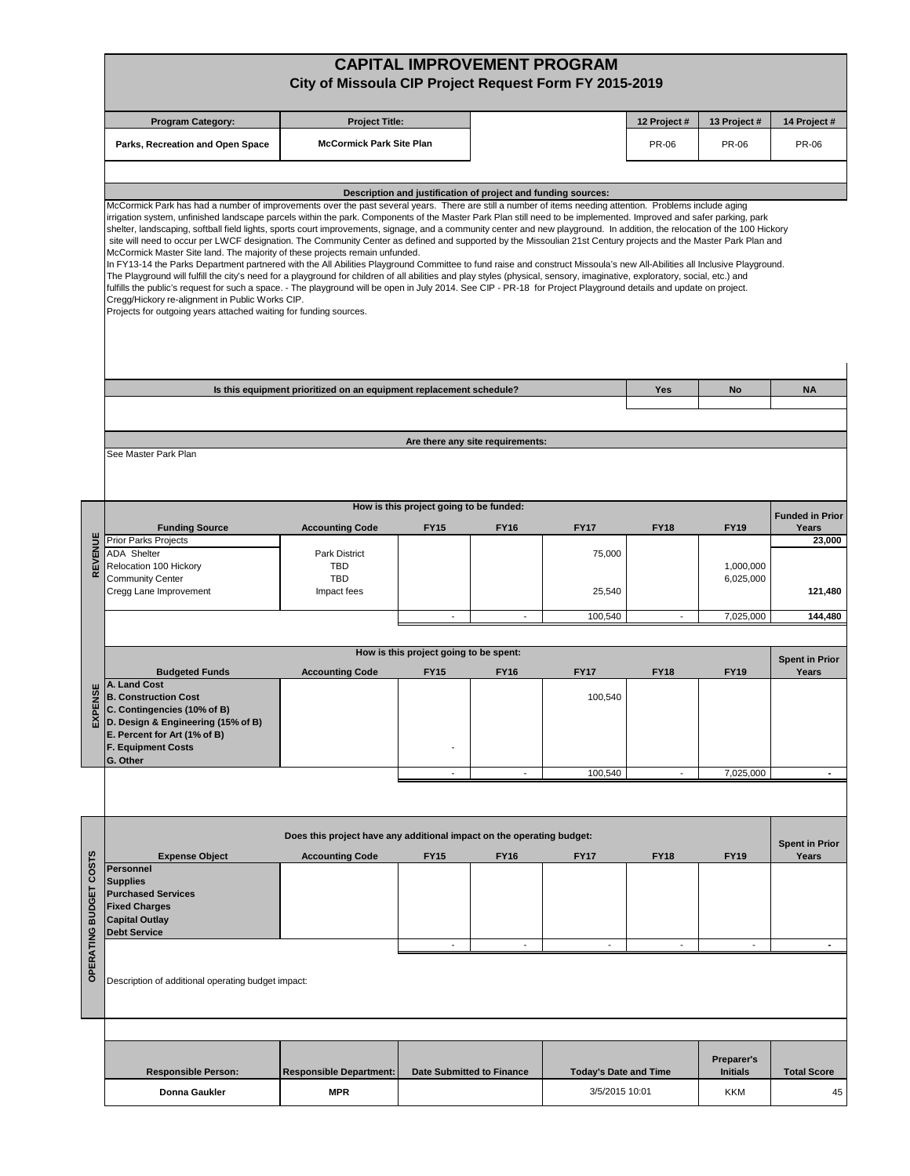|                        | <b>CAPITAL IMPROVEMENT PROGRAM</b>                                                                                                                                                                                                                                                                                                                                                                                                                                                                                                                                                                                                                                                                                                                                                                                                                                                                                                                                                                                                                                                                                                                                                                                                                                                                                                                                                                                     |                                                                       |                                                       |                                  |                              |                          |                 |                                 |
|------------------------|------------------------------------------------------------------------------------------------------------------------------------------------------------------------------------------------------------------------------------------------------------------------------------------------------------------------------------------------------------------------------------------------------------------------------------------------------------------------------------------------------------------------------------------------------------------------------------------------------------------------------------------------------------------------------------------------------------------------------------------------------------------------------------------------------------------------------------------------------------------------------------------------------------------------------------------------------------------------------------------------------------------------------------------------------------------------------------------------------------------------------------------------------------------------------------------------------------------------------------------------------------------------------------------------------------------------------------------------------------------------------------------------------------------------|-----------------------------------------------------------------------|-------------------------------------------------------|----------------------------------|------------------------------|--------------------------|-----------------|---------------------------------|
|                        | City of Missoula CIP Project Request Form FY 2015-2019                                                                                                                                                                                                                                                                                                                                                                                                                                                                                                                                                                                                                                                                                                                                                                                                                                                                                                                                                                                                                                                                                                                                                                                                                                                                                                                                                                 |                                                                       |                                                       |                                  |                              |                          |                 |                                 |
|                        | <b>Program Category:</b>                                                                                                                                                                                                                                                                                                                                                                                                                                                                                                                                                                                                                                                                                                                                                                                                                                                                                                                                                                                                                                                                                                                                                                                                                                                                                                                                                                                               | <b>Project Title:</b>                                                 |                                                       |                                  | 12 Project #                 | 13 Project #             | 14 Project #    |                                 |
|                        | Parks, Recreation and Open Space                                                                                                                                                                                                                                                                                                                                                                                                                                                                                                                                                                                                                                                                                                                                                                                                                                                                                                                                                                                                                                                                                                                                                                                                                                                                                                                                                                                       |                                                                       | <b>McCormick Park Site Plan</b>                       |                                  |                              |                          | PR-06           | <b>PR-06</b>                    |
|                        |                                                                                                                                                                                                                                                                                                                                                                                                                                                                                                                                                                                                                                                                                                                                                                                                                                                                                                                                                                                                                                                                                                                                                                                                                                                                                                                                                                                                                        |                                                                       |                                                       |                                  |                              |                          |                 |                                 |
|                        | Description and justification of project and funding sources:                                                                                                                                                                                                                                                                                                                                                                                                                                                                                                                                                                                                                                                                                                                                                                                                                                                                                                                                                                                                                                                                                                                                                                                                                                                                                                                                                          |                                                                       |                                                       |                                  |                              |                          |                 |                                 |
|                        | McCormick Park has had a number of improvements over the past several years. There are still a number of items needing attention. Problems include aging<br>irrigation system, unfinished landscape parcels within the park. Components of the Master Park Plan still need to be implemented. Improved and safer parking, park<br>shelter, landscaping, softball field lights, sports court improvements, signage, and a community center and new playground. In addition, the relocation of the 100 Hickory<br>site will need to occur per LWCF designation. The Community Center as defined and supported by the Missoulian 21st Century projects and the Master Park Plan and<br>McCormick Master Site land. The majority of these projects remain unfunded.<br>In FY13-14 the Parks Department partnered with the All Abilities Playground Committee to fund raise and construct Missoula's new All-Abilities all Inclusive Playground.<br>The Playground will fulfill the city's need for a playground for children of all abilities and play styles (physical, sensory, imaginative, exploratory, social, etc.) and<br>fulfills the public's request for such a space. - The playground will be open in July 2014. See CIP - PR-18 for Project Playground details and update on project.<br>Cregg/Hickory re-alignment in Public Works CIP.<br>Projects for outgoing years attached waiting for funding sources. |                                                                       |                                                       |                                  |                              |                          |                 |                                 |
|                        |                                                                                                                                                                                                                                                                                                                                                                                                                                                                                                                                                                                                                                                                                                                                                                                                                                                                                                                                                                                                                                                                                                                                                                                                                                                                                                                                                                                                                        |                                                                       |                                                       |                                  |                              |                          |                 |                                 |
|                        |                                                                                                                                                                                                                                                                                                                                                                                                                                                                                                                                                                                                                                                                                                                                                                                                                                                                                                                                                                                                                                                                                                                                                                                                                                                                                                                                                                                                                        | Is this equipment prioritized on an equipment replacement schedule?   |                                                       |                                  |                              | <b>Yes</b>               | <b>No</b>       | <b>NA</b>                       |
|                        |                                                                                                                                                                                                                                                                                                                                                                                                                                                                                                                                                                                                                                                                                                                                                                                                                                                                                                                                                                                                                                                                                                                                                                                                                                                                                                                                                                                                                        |                                                                       |                                                       |                                  |                              |                          |                 |                                 |
|                        | See Master Park Plan                                                                                                                                                                                                                                                                                                                                                                                                                                                                                                                                                                                                                                                                                                                                                                                                                                                                                                                                                                                                                                                                                                                                                                                                                                                                                                                                                                                                   |                                                                       |                                                       | Are there any site requirements: |                              |                          |                 |                                 |
|                        |                                                                                                                                                                                                                                                                                                                                                                                                                                                                                                                                                                                                                                                                                                                                                                                                                                                                                                                                                                                                                                                                                                                                                                                                                                                                                                                                                                                                                        |                                                                       |                                                       |                                  |                              |                          |                 |                                 |
|                        |                                                                                                                                                                                                                                                                                                                                                                                                                                                                                                                                                                                                                                                                                                                                                                                                                                                                                                                                                                                                                                                                                                                                                                                                                                                                                                                                                                                                                        |                                                                       | How is this project going to be funded:               |                                  |                              |                          | <b>FY19</b>     | <b>Funded in Prior</b><br>Years |
|                        | <b>Funding Source</b><br><b>Prior Parks Projects</b>                                                                                                                                                                                                                                                                                                                                                                                                                                                                                                                                                                                                                                                                                                                                                                                                                                                                                                                                                                                                                                                                                                                                                                                                                                                                                                                                                                   | <b>Accounting Code</b>                                                | <b>FY15</b>                                           | <b>FY16</b>                      | <b>FY17</b>                  | <b>FY18</b>              |                 | 23,000                          |
| REVENUE                | <b>ADA Shelter</b><br>Relocation 100 Hickory                                                                                                                                                                                                                                                                                                                                                                                                                                                                                                                                                                                                                                                                                                                                                                                                                                                                                                                                                                                                                                                                                                                                                                                                                                                                                                                                                                           | <b>Park District</b><br><b>TBD</b>                                    |                                                       |                                  | 75,000                       |                          | 1,000,000       |                                 |
|                        | <b>Community Center</b><br>Cregg Lane Improvement                                                                                                                                                                                                                                                                                                                                                                                                                                                                                                                                                                                                                                                                                                                                                                                                                                                                                                                                                                                                                                                                                                                                                                                                                                                                                                                                                                      | <b>TBD</b><br>Impact fees                                             |                                                       |                                  | 25,540                       |                          | 6,025,000       | 121,480                         |
|                        |                                                                                                                                                                                                                                                                                                                                                                                                                                                                                                                                                                                                                                                                                                                                                                                                                                                                                                                                                                                                                                                                                                                                                                                                                                                                                                                                                                                                                        |                                                                       | $\overline{\phantom{a}}$                              | $\overline{a}$                   | 100,540                      |                          | 7,025,000       | 144,480                         |
|                        |                                                                                                                                                                                                                                                                                                                                                                                                                                                                                                                                                                                                                                                                                                                                                                                                                                                                                                                                                                                                                                                                                                                                                                                                                                                                                                                                                                                                                        |                                                                       |                                                       |                                  |                              |                          |                 |                                 |
|                        | <b>Budgeted Funds</b>                                                                                                                                                                                                                                                                                                                                                                                                                                                                                                                                                                                                                                                                                                                                                                                                                                                                                                                                                                                                                                                                                                                                                                                                                                                                                                                                                                                                  | <b>Accounting Code</b>                                                | How is this project going to be spent:<br><b>FY15</b> | <b>FY16</b>                      | <b>FY17</b>                  | <b>FY18</b>              | <b>FY19</b>     | <b>Spent in Prior</b><br>Years  |
|                        | A. Land Cost                                                                                                                                                                                                                                                                                                                                                                                                                                                                                                                                                                                                                                                                                                                                                                                                                                                                                                                                                                                                                                                                                                                                                                                                                                                                                                                                                                                                           |                                                                       |                                                       |                                  |                              |                          |                 |                                 |
| PENSE                  | <b>B. Construction Cost</b><br>C. Contingencies (10% of B)                                                                                                                                                                                                                                                                                                                                                                                                                                                                                                                                                                                                                                                                                                                                                                                                                                                                                                                                                                                                                                                                                                                                                                                                                                                                                                                                                             |                                                                       |                                                       |                                  | 100,540                      |                          |                 |                                 |
| ᇟ                      | D. Design & Engineering (15% of B)<br>E. Percent for Art (1% of B)                                                                                                                                                                                                                                                                                                                                                                                                                                                                                                                                                                                                                                                                                                                                                                                                                                                                                                                                                                                                                                                                                                                                                                                                                                                                                                                                                     |                                                                       |                                                       |                                  |                              |                          |                 |                                 |
|                        | <b>F. Equipment Costs</b><br>G. Other                                                                                                                                                                                                                                                                                                                                                                                                                                                                                                                                                                                                                                                                                                                                                                                                                                                                                                                                                                                                                                                                                                                                                                                                                                                                                                                                                                                  |                                                                       |                                                       |                                  |                              |                          |                 |                                 |
|                        |                                                                                                                                                                                                                                                                                                                                                                                                                                                                                                                                                                                                                                                                                                                                                                                                                                                                                                                                                                                                                                                                                                                                                                                                                                                                                                                                                                                                                        |                                                                       | $\overline{\phantom{a}}$                              | $\overline{\phantom{a}}$         | 100,540                      |                          | 7,025,000       | $\blacksquare$                  |
|                        |                                                                                                                                                                                                                                                                                                                                                                                                                                                                                                                                                                                                                                                                                                                                                                                                                                                                                                                                                                                                                                                                                                                                                                                                                                                                                                                                                                                                                        |                                                                       |                                                       |                                  |                              |                          |                 |                                 |
|                        |                                                                                                                                                                                                                                                                                                                                                                                                                                                                                                                                                                                                                                                                                                                                                                                                                                                                                                                                                                                                                                                                                                                                                                                                                                                                                                                                                                                                                        | Does this project have any additional impact on the operating budget: |                                                       |                                  |                              |                          |                 |                                 |
|                        | <b>Expense Object</b>                                                                                                                                                                                                                                                                                                                                                                                                                                                                                                                                                                                                                                                                                                                                                                                                                                                                                                                                                                                                                                                                                                                                                                                                                                                                                                                                                                                                  | <b>Accounting Code</b>                                                | <b>FY15</b>                                           | <b>FY16</b>                      | <b>FY17</b>                  | <b>FY18</b>              | <b>FY19</b>     | <b>Spent in Prior</b><br>Years  |
|                        | Personnel<br><b>Supplies</b>                                                                                                                                                                                                                                                                                                                                                                                                                                                                                                                                                                                                                                                                                                                                                                                                                                                                                                                                                                                                                                                                                                                                                                                                                                                                                                                                                                                           |                                                                       |                                                       |                                  |                              |                          |                 |                                 |
|                        | <b>Purchased Services</b><br><b>Fixed Charges</b>                                                                                                                                                                                                                                                                                                                                                                                                                                                                                                                                                                                                                                                                                                                                                                                                                                                                                                                                                                                                                                                                                                                                                                                                                                                                                                                                                                      |                                                                       |                                                       |                                  |                              |                          |                 |                                 |
|                        | <b>Capital Outlay</b>                                                                                                                                                                                                                                                                                                                                                                                                                                                                                                                                                                                                                                                                                                                                                                                                                                                                                                                                                                                                                                                                                                                                                                                                                                                                                                                                                                                                  |                                                                       |                                                       |                                  |                              |                          |                 |                                 |
|                        | <b>Debt Service</b>                                                                                                                                                                                                                                                                                                                                                                                                                                                                                                                                                                                                                                                                                                                                                                                                                                                                                                                                                                                                                                                                                                                                                                                                                                                                                                                                                                                                    |                                                                       | $\overline{\phantom{a}}$                              | $\overline{a}$                   | $\overline{a}$               | $\overline{\phantom{a}}$ | $\sim$          | $\blacksquare$                  |
| OPERATING BUDGET COSTS | Description of additional operating budget impact:                                                                                                                                                                                                                                                                                                                                                                                                                                                                                                                                                                                                                                                                                                                                                                                                                                                                                                                                                                                                                                                                                                                                                                                                                                                                                                                                                                     |                                                                       |                                                       |                                  |                              |                          |                 |                                 |
|                        |                                                                                                                                                                                                                                                                                                                                                                                                                                                                                                                                                                                                                                                                                                                                                                                                                                                                                                                                                                                                                                                                                                                                                                                                                                                                                                                                                                                                                        |                                                                       |                                                       |                                  |                              |                          |                 |                                 |
|                        |                                                                                                                                                                                                                                                                                                                                                                                                                                                                                                                                                                                                                                                                                                                                                                                                                                                                                                                                                                                                                                                                                                                                                                                                                                                                                                                                                                                                                        |                                                                       |                                                       |                                  |                              |                          | Preparer's      |                                 |
|                        | <b>Responsible Person:</b>                                                                                                                                                                                                                                                                                                                                                                                                                                                                                                                                                                                                                                                                                                                                                                                                                                                                                                                                                                                                                                                                                                                                                                                                                                                                                                                                                                                             | <b>Responsible Department:</b>                                        | <b>Date Submitted to Finance</b>                      |                                  | <b>Today's Date and Time</b> |                          | <b>Initials</b> | <b>Total Score</b>              |
|                        | Donna Gaukler                                                                                                                                                                                                                                                                                                                                                                                                                                                                                                                                                                                                                                                                                                                                                                                                                                                                                                                                                                                                                                                                                                                                                                                                                                                                                                                                                                                                          | <b>MPR</b>                                                            |                                                       |                                  | 3/5/2015 10:01               |                          | <b>KKM</b>      | 45                              |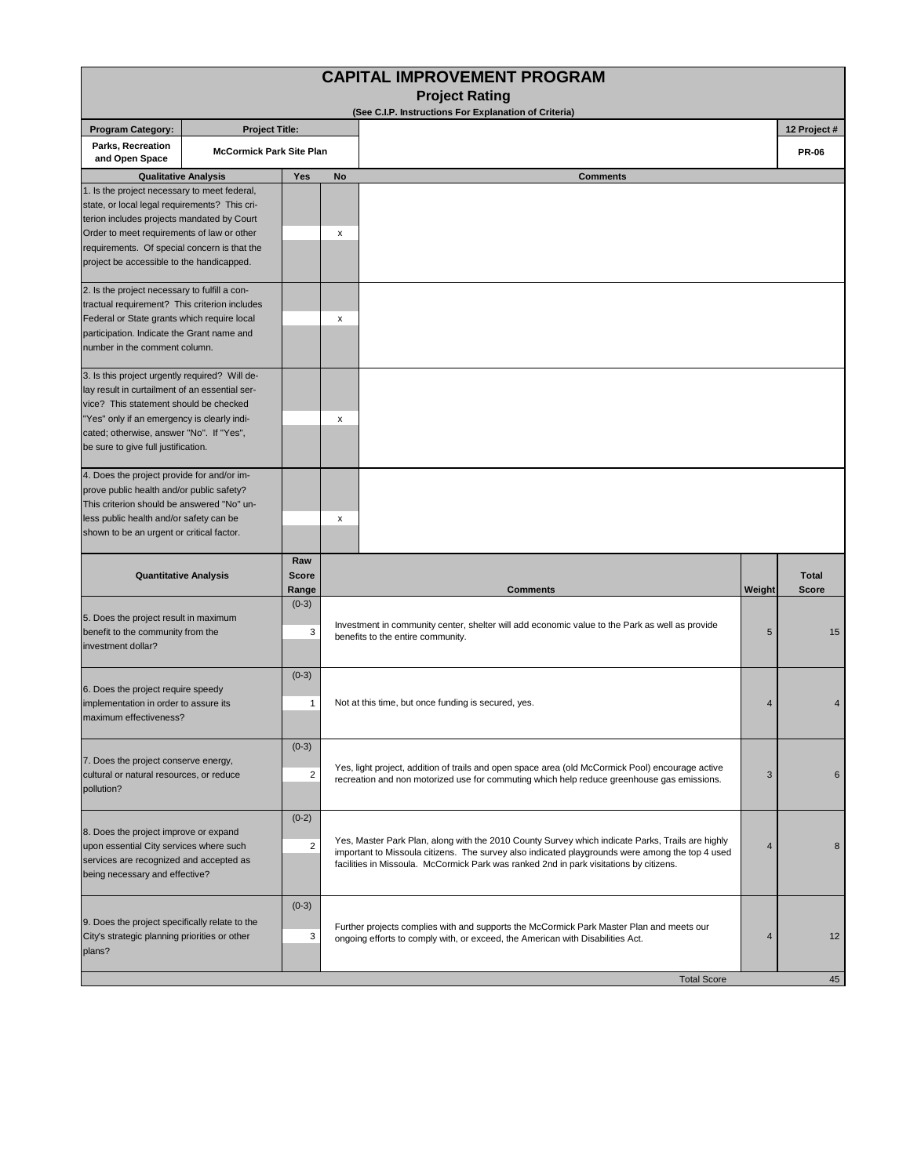| <b>CAPITAL IMPROVEMENT PROGRAM</b>                                                                                                                                                                                                                                                     |                                 |                           |                                                                                                                                                                                                                                                                                               |                |                              |  |  |  |
|----------------------------------------------------------------------------------------------------------------------------------------------------------------------------------------------------------------------------------------------------------------------------------------|---------------------------------|---------------------------|-----------------------------------------------------------------------------------------------------------------------------------------------------------------------------------------------------------------------------------------------------------------------------------------------|----------------|------------------------------|--|--|--|
|                                                                                                                                                                                                                                                                                        |                                 |                           | <b>Project Rating</b><br>(See C.I.P. Instructions For Explanation of Criteria)                                                                                                                                                                                                                |                |                              |  |  |  |
| <b>Program Category:</b>                                                                                                                                                                                                                                                               | <b>Project Title:</b>           |                           |                                                                                                                                                                                                                                                                                               |                | 12 Project #                 |  |  |  |
| Parks, Recreation<br>and Open Space                                                                                                                                                                                                                                                    | <b>McCormick Park Site Plan</b> |                           |                                                                                                                                                                                                                                                                                               |                | <b>PR-06</b>                 |  |  |  |
|                                                                                                                                                                                                                                                                                        | <b>Qualitative Analysis</b>     | Yes                       | No<br><b>Comments</b>                                                                                                                                                                                                                                                                         |                |                              |  |  |  |
| 1. Is the project necessary to meet federal,<br>state, or local legal requirements? This cri-<br>terion includes projects mandated by Court<br>Order to meet requirements of law or other<br>requirements. Of special concern is that the<br>project be accessible to the handicapped. |                                 |                           | x                                                                                                                                                                                                                                                                                             |                |                              |  |  |  |
| 2. Is the project necessary to fulfill a con-<br>tractual requirement? This criterion includes<br>Federal or State grants which require local<br>participation. Indicate the Grant name and<br>number in the comment column.                                                           |                                 |                           | x                                                                                                                                                                                                                                                                                             |                |                              |  |  |  |
| 3. Is this project urgently required? Will de-<br>lay result in curtailment of an essential ser-<br>vice? This statement should be checked<br>"Yes" only if an emergency is clearly indi-<br>cated; otherwise, answer "No". If "Yes",<br>be sure to give full justification.           |                                 |                           | x                                                                                                                                                                                                                                                                                             |                |                              |  |  |  |
| 4. Does the project provide for and/or im-<br>prove public health and/or public safety?<br>This criterion should be answered "No" un-<br>less public health and/or safety can be<br>shown to be an urgent or critical factor.                                                          |                                 |                           | x                                                                                                                                                                                                                                                                                             |                |                              |  |  |  |
| <b>Quantitative Analysis</b>                                                                                                                                                                                                                                                           |                                 | Raw<br>Score<br>Range     | <b>Comments</b>                                                                                                                                                                                                                                                                               | Weight         | <b>Total</b><br><b>Score</b> |  |  |  |
| 5. Does the project result in maximum<br>benefit to the community from the<br>investment dollar?                                                                                                                                                                                       |                                 | $(0-3)$<br>3              | Investment in community center, shelter will add economic value to the Park as well as provide<br>5<br>benefits to the entire community.                                                                                                                                                      |                | 15                           |  |  |  |
| 6. Does the project require speedy<br>implementation in order to assure its<br>maximum effectiveness?                                                                                                                                                                                  |                                 | $(0-3)$<br>$\mathbf{1}$   | Not at this time, but once funding is secured, yes.                                                                                                                                                                                                                                           |                |                              |  |  |  |
| 7. Does the project conserve energy,<br>cultural or natural resources, or reduce<br>pollution?                                                                                                                                                                                         |                                 | $(0-3)$<br>$\sqrt{2}$     | Yes, light project, addition of trails and open space area (old McCormick Pool) encourage active<br>recreation and non motorized use for commuting which help reduce greenhouse gas emissions.                                                                                                |                | 6                            |  |  |  |
| 8. Does the project improve or expand<br>upon essential City services where such<br>services are recognized and accepted as<br>being necessary and effective?                                                                                                                          |                                 | $(0-2)$<br>$\overline{2}$ | Yes, Master Park Plan, along with the 2010 County Survey which indicate Parks, Trails are highly<br>important to Missoula citizens. The survey also indicated playgrounds were among the top 4 used<br>facilities in Missoula. McCormick Park was ranked 2nd in park visitations by citizens. | $\overline{4}$ | 8                            |  |  |  |
| 9. Does the project specifically relate to the<br>City's strategic planning priorities or other<br>plans?                                                                                                                                                                              |                                 | $(0-3)$<br>3              | Further projects complies with and supports the McCormick Park Master Plan and meets our<br>ongoing efforts to comply with, or exceed, the American with Disabilities Act.                                                                                                                    | 4              | 12                           |  |  |  |
|                                                                                                                                                                                                                                                                                        |                                 |                           | <b>Total Score</b>                                                                                                                                                                                                                                                                            |                | 45                           |  |  |  |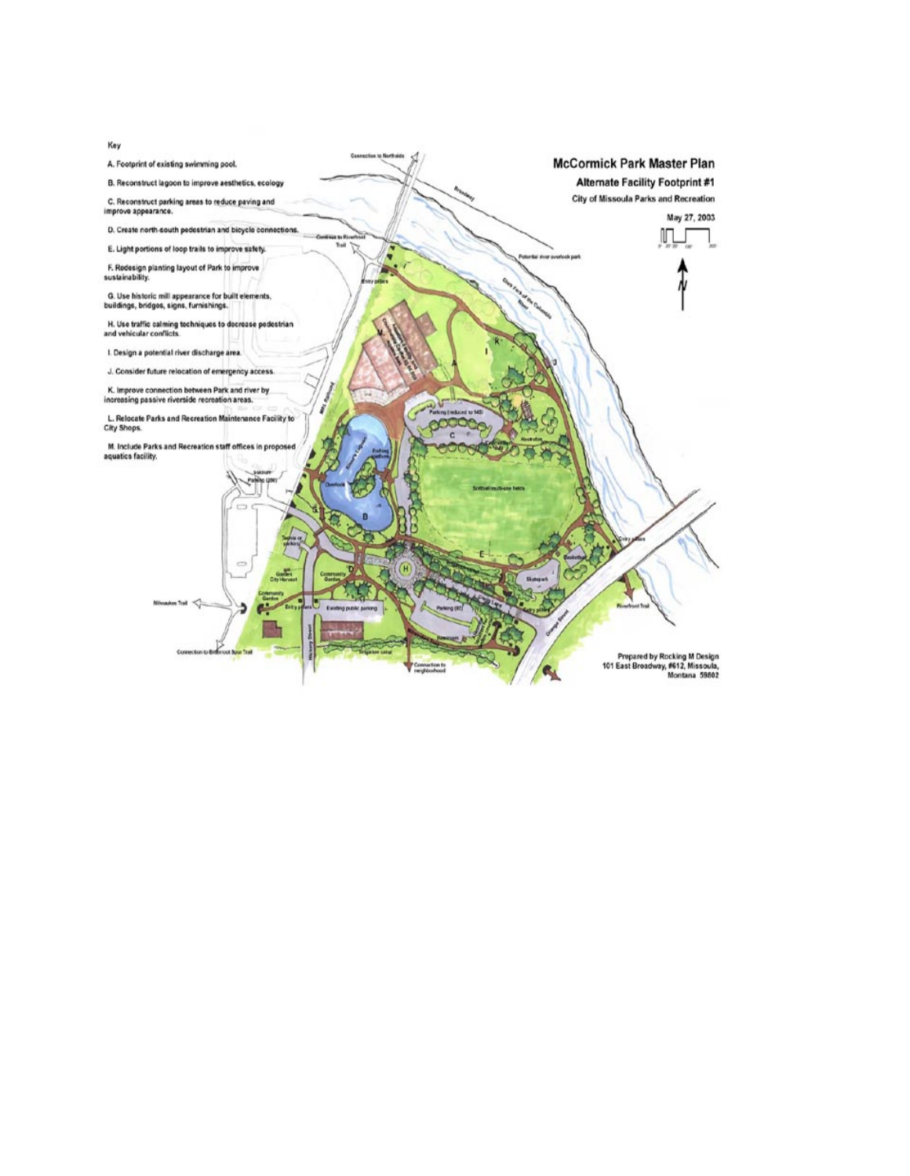